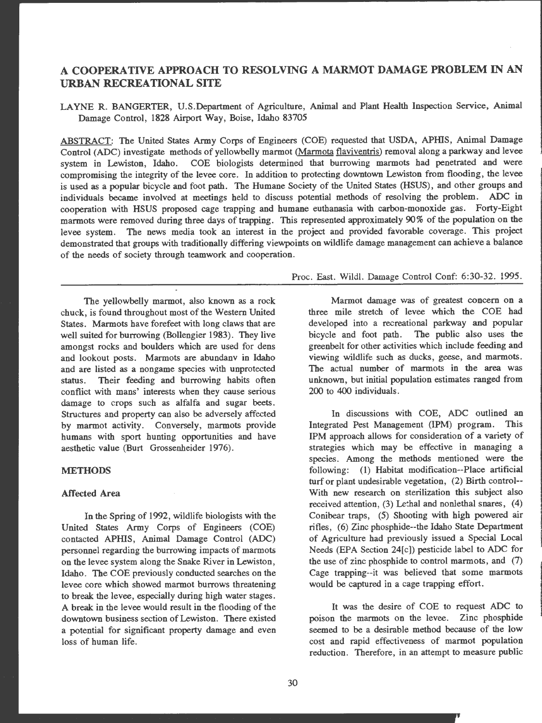# **A COOPERATIVE APPROACH TO RESOLVING A MARMOT DAMAGE PROBLEM IN AN URBAN RECREATIONAL SITE**

LAYNE R. BANGERTER, U.S.Department of Agriculture, Animal and Plant Health Inspection Service, Animal Damage Control, 1828 Airport Way, Boise, Idaho 83705

ABSTRACT: The United States Army Corps of Engineers (COE) requested that USDA, APHIS, Animal Damage Control (ADC) investigate methods of yellowbelly marmot (Marmota flaviventris) removal along a parkway and levee system in Lewiston, Idaho. COE biologists determined that burrowing marmots had penetrated and were compromising the integrity of the levee core. In addition to protecting downtown Lewiston from flooding, the levee is used as a popular bicycle and foot path. The Humane Society of the United States (HSUS), and other groups and individuals became involved at meetings held to discuss potential methods of resolving the problem. ADC in cooperation with HSUS proposed cage trapping and humane euthanasia with carbon-monoxide gas. Forty-Eight marmots were removed during three days of trapping. This represented approximately 90% of the population on the levee system. The news media took an interest in the project and provided favorable coverage. This project demonstrated that groups with traditionally differing viewpoints on wildlife damage management can achieve a balance of the needs of society through teamwork and cooperation.

The yellowbelly marmot, also known as a rock chuck, is found throughout most of the Western United States. Marmots have forefeet with long claws that are well suited for burrowing (Bollengier 1983). They live amongst rocks and boulders which are used for dens and lookout posts. Marmots are abundany in Idaho and are listed as a nongame species with unprotected status. Their feeding and burrowing habits often conflict with mans' interests when they cause serious damage to crops such as alfalfa and sugar beets. Structures and property can also be adversely affected by marmot activity. Conversely, marmots provide humans with sport hunting opportunities and have aesthetic value (Burt Grossenheider 1976).

### **METHODS**

#### Affected Area

In the Spring of 1992, wildlife biologists with the United States Army Corps of Engineers (COE) contacted **APillS,** Animal Damage Control (ADC) personnel regarding the burrowing impacts of marmots on the levee system along the Snake River in Lewiston , Idaho. The COE previously conducted searches on the levee core which showed marmot burrows threatening to break the levee, especially during high water stages. A break in the levee would result in the flooding of the downtown business section of Lewiston. There existed a potential for significant property damage and even loss of human life.

Proc. East. Wildl. Damage Control Conf: 6:30-32. 1995.

Marmot damage was of greatest concern on a three mile stretch of levee which the COE had developed into a recreational parkway and popular bicycle and foot path. The public also uses the greenbelt for other activities which include feeding and viewing wildlife such as ducks, geese, and marmots. The actual number of marmots in the area was unknown, but initial population estimates ranged from 200 to 400 individuals.

In discussions with COE, ADC outlined an Integrated Pest Management **(1PM)** program. This **1PM** approach allows for consideration of a variety of strategies which may be effective in managing a species. Among the methods mentioned were the following: (1) Habitat modification--Place artificial turf or plant undesirable vegetation, (2) Birth control--With new research on sterilization this subject also received attention,  $(3)$  Lethal and nonlethal snares,  $(4)$ Conibear traps, (5) Shooting with high powered air rifles, (6) Zinc phosphide --the Idaho State Department of Agriculture had previously issued a Special Local Needs (EPA Section 24[c]) pesticide label to ADC for the use of zinc phosphide to control marmots, and  $(7)$ Cage trapping--it was believed that some marmots would be captured in a cage trapping effort.

It was the desire of COE to request ADC to poison the marmots on the levee. Zinc phosphide seemed to be a desirable method because of the low cost and rapid effectiveness of marmot population reduction. Therefore, in an attempt to measure public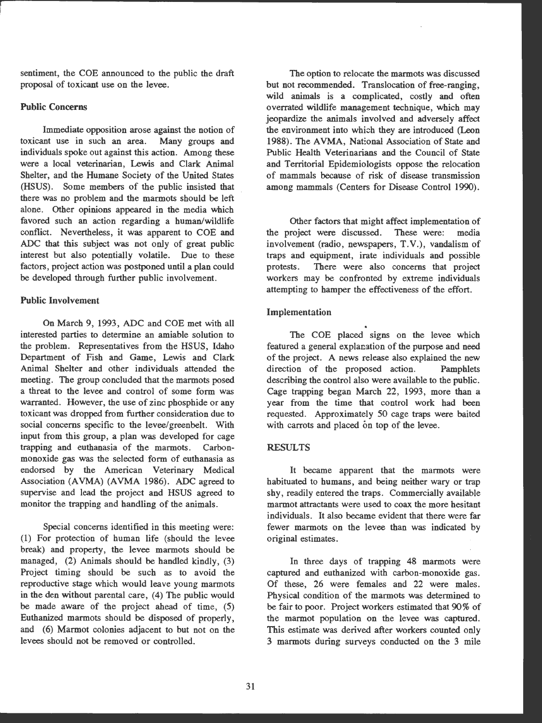sentiment, the COE announced to the public the draft proposal of toxicant use on the levee .

# **Public Concerns**

Immediate opposition arose against the notion of toxicant use in such an area. Many groups and individuals spoke out against this action. Among these were a local veterinarian, Lewis and Clark Animal Shelter, and the Humane Society of the United States (HSUS). Some members of the public insisted that there was no problem and the marmots should be left alone. Other opinions appeared in the media which favored such an action regarding a human/wildlife conflict. Nevertheless, it was apparent to COE and ADC that this subject was not only of great public interest but also potentially volatile. Due to these factors, project action was postponed until a plan could be developed through further public involvement.

# Public Involvement

On March 9, 1993, ADC and COE met with all interested parties to determine an amiable solution to the problem. Representatives from the HSUS, Idaho Department of Fish and Game, Lewis and Clark Animal Shelter and other individuals attended the meeting. The group concluded that the marmots posed a threat to the levee and control of some form was warranted. However, the use of zinc phosphide or any toxicant was dropped from further consideration due to social concerns specific to the levee/greenbelt. With input from this group, a plan was developed for cage trapping and euthanasia of the marmots. Carbonmonoxide gas was the selected form of euthanasia as endorsed by the American Veterinary Medical Association (AVMA) (AVMA 1986). ADC agreed to supervise and lead the project and HSUS agreed to monitor the trapping and handling of the animals.

Special concerns identified in this meeting were: (1) For protection of human life (should the levee break) and property, the levee marmots should be managed, (2) Animals should be handled kindly, (3) Project timing should be such as to avoid the reproductive stage which would leave young marmots in the den without parental care, (4) The public would be made aware of the project ahead of time, (5) Euthanized marmots should be disposed of properly, and (6) Marmot colonies adjacent to but not on the levees should not be removed or controlled.

The option to relocate the marmots was discussed but not recommended. Translocation of free-ranging, wild animals is a complicated, costly and often overrated wildlife management technique, which may jeopardize the animals involved and adversely affect the environment into which they are introduced (Leon 1988). The AVMA, National Association of State and Public Health Veterinarians and the Council of State and Territorial Epidemiologists oppose the relocation of mammals because of risk of disease transmission among mammals (Centers for Disease Control 1990).

Other factors that might affect implementation of the project were discussed. These were: media involvement (radio, newspapers, T.V.), vandalism of traps and equipment, irate individuals and possible protests. There were also concerns that project workers may be confronted by extreme individuals attempting to hamper the effectiveness of the effort.

### Implementation

The COE placed signs on the levee which featured a general explanation of the purpose and need of the project. A news release also explained the new direction of the proposed action. Pamphlets describing the control also were available to the public. Cage trapping began March 22, 1993, more than a year from the time that control work had been requested. Approximately 50 cage traps were baited with carrots and placed on top of the levee.

### **RESULTS**

It became apparent that the marmots were habituated to humans, and being neither wary or trap shy, readily entered the traps. Commercially available marmot attractants were used to coax the more hesitant individuals. It also became evident that there were far fewer marmots on the levee than was indicated by original estimates.

In three days of trapping 48 marmots were captured and euthanized with carbon-monoxide gas. Of these, 26 were females and 22 were males. Physical condition of the marmots was determined to be fair to poor. Project workers estimated that 90% of the marmot population on the levee was captured. This estimate was derived after workers counted only 3 marmots during surveys conducted on the 3 mile